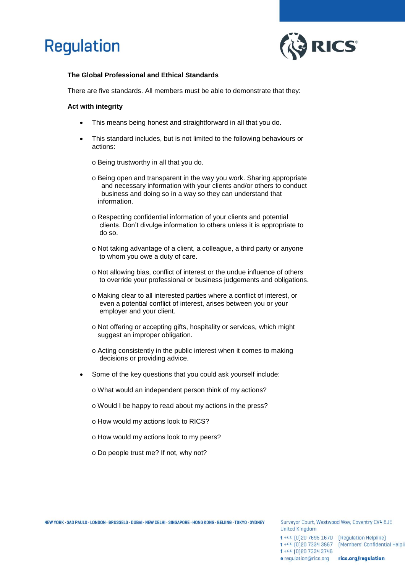# **Regulation**



# **The Global Professional and Ethical Standards**

There are five standards. All members must be able to demonstrate that they:

# **Act with integrity**

- This means being honest and straightforward in all that you do.
- This standard includes, but is not limited to the following behaviours or actions:

o Being trustworthy in all that you do.

- o Being open and transparent in the way you work. Sharing appropriate and necessary information with your clients and/or others to conduct business and doing so in a way so they can understand that information.
- o Respecting confidential information of your clients and potential clients. Don't divulge information to others unless it is appropriate to do so.
- o Not taking advantage of a client, a colleague, a third party or anyone to whom you owe a duty of care.
- o Not allowing bias, conflict of interest or the undue influence of others to override your professional or business judgements and obligations.
- o Making clear to all interested parties where a conflict of interest, or even a potential conflict of interest, arises between you or your employer and your client.
- o Not offering or accepting gifts, hospitality or services, which might suggest an improper obligation.
- o Acting consistently in the public interest when it comes to making decisions or providing advice.
- Some of the key questions that you could ask yourself include:

o What would an independent person think of my actions?

- o Would I be happy to read about my actions in the press?
- o How would my actions look to RICS?
- o How would my actions look to my peers?
- o Do people trust me? If not, why not?

NEW YORK · SAO PAULO · LONDON · BRUSSELS · DUBAI · NEW DELHI · SINGAPORE · HONG KONG · BEIJING · TOKYO · SYDNEY

Surveyor Court, Westwood Way, Coventry CV4 8JE **United Kingdom** 

 $t + 44$  [0] 20 7695 1670 [Requlation Helpline] t +44 [0]20 7334 3867 [Members' Confidential Helpli f +44 [0] 20 7334 3746 e regulation@rics.org rics.org/regulation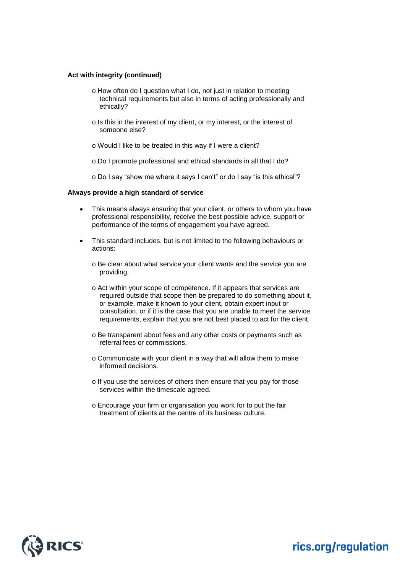# **Act with integrity (continued)**

- o How often do I question what I do, not just in relation to meeting technical requirements but also in terms of acting professionally and ethically?
- o Is this in the interest of my client, or my interest, or the interest of someone else?
- o Would I like to be treated in this way if I were a client?
- o Do I promote professional and ethical standards in all that I do?
- o Do I say "show me where it says I can't" or do I say "is this ethical"?

#### **Always provide a high standard of service**

- This means always ensuring that your client, or others to whom you have professional responsibility, receive the best possible advice, support or performance of the terms of engagement you have agreed.
- This standard includes, but is not limited to the following behaviours or actions:
	- o Be clear about what service your client wants and the service you are providing.
	- o Act within your scope of competence. If it appears that services are required outside that scope then be prepared to do something about it, or example, make it known to your client, obtain expert input or consultation, or if it is the case that you are unable to meet the service requirements, explain that you are not best placed to act for the client.
	- o Be transparent about fees and any other costs or payments such as referral fees or commissions.
	- o Communicate with your client in a way that will allow them to make informed decisions.
	- o If you use the services of others then ensure that you pay for those services within the timescale agreed.
	- o Encourage your firm or organisation you work for to put the fair treatment of clients at the centre of its business culture.

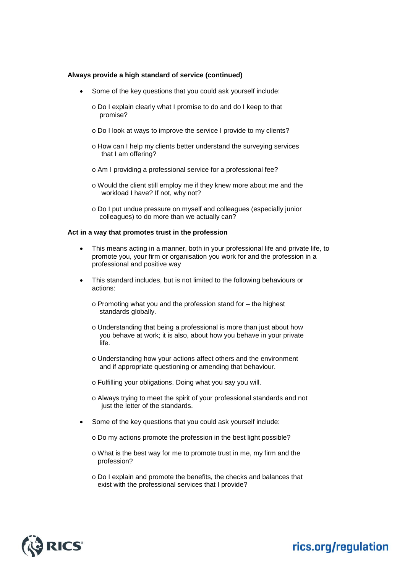# **Always provide a high standard of service (continued)**

- Some of the key questions that you could ask yourself include:
	- o Do I explain clearly what I promise to do and do I keep to that promise?
	- o Do I look at ways to improve the service I provide to my clients?
	- o How can I help my clients better understand the surveying services that I am offering?
	- o Am I providing a professional service for a professional fee?
	- o Would the client still employ me if they knew more about me and the workload I have? If not, why not?
	- o Do I put undue pressure on myself and colleagues (especially junior colleagues) to do more than we actually can?

#### **Act in a way that promotes trust in the profession**

- This means acting in a manner, both in your professional life and private life, to promote you, your firm or organisation you work for and the profession in a professional and positive way
- This standard includes, but is not limited to the following behaviours or actions:
	- o Promoting what you and the profession stand for the highest standards globally.
	- o Understanding that being a professional is more than just about how you behave at work; it is also, about how you behave in your private life.
	- o Understanding how your actions affect others and the environment and if appropriate questioning or amending that behaviour.
	- o Fulfilling your obligations. Doing what you say you will.
	- o Always trying to meet the spirit of your professional standards and not just the letter of the standards.
- Some of the key questions that you could ask yourself include:
	- o Do my actions promote the profession in the best light possible?
	- o What is the best way for me to promote trust in me, my firm and the profession?
	- o Do I explain and promote the benefits, the checks and balances that exist with the professional services that I provide?

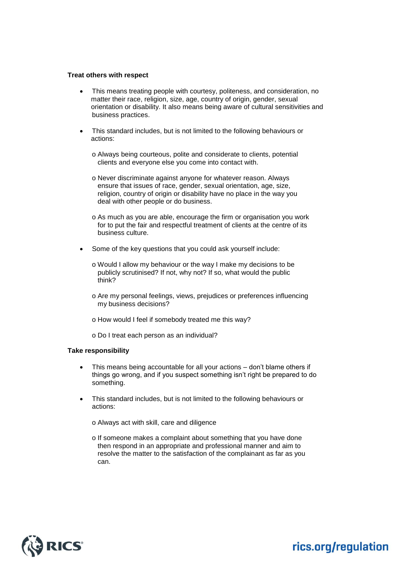### **Treat others with respect**

- This means treating people with courtesy, politeness, and consideration, no matter their race, religion, size, age, country of origin, gender, sexual orientation or disability. It also means being aware of cultural sensitivities and business practices.
- This standard includes, but is not limited to the following behaviours or actions:
	- o Always being courteous, polite and considerate to clients, potential clients and everyone else you come into contact with.
	- o Never discriminate against anyone for whatever reason. Always ensure that issues of race, gender, sexual orientation, age, size, religion, country of origin or disability have no place in the way you deal with other people or do business.
	- o As much as you are able, encourage the firm or organisation you work for to put the fair and respectful treatment of clients at the centre of its business culture.
- Some of the key questions that you could ask yourself include:
	- o Would I allow my behaviour or the way I make my decisions to be publicly scrutinised? If not, why not? If so, what would the public think?
	- o Are my personal feelings, views, prejudices or preferences influencing my business decisions?
	- o How would I feel if somebody treated me this way?
	- o Do I treat each person as an individual?

# **Take responsibility**

- This means being accountable for all your actions don't blame others if things go wrong, and if you suspect something isn't right be prepared to do something.
- This standard includes, but is not limited to the following behaviours or actions:
	- o Always act with skill, care and diligence
	- o If someone makes a complaint about something that you have done then respond in an appropriate and professional manner and aim to resolve the matter to the satisfaction of the complainant as far as you can.